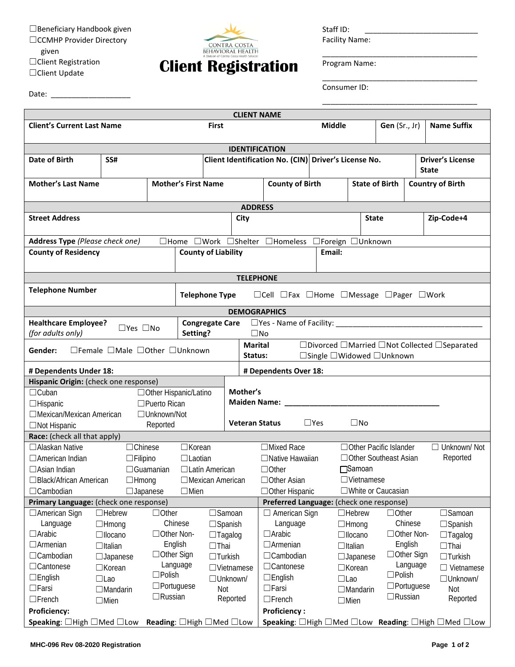☐Beneficiary Handbook given ☐CCMHP Provider Directory given ☐Client Registration ☐Client Update

Date: \_\_\_\_\_\_\_\_\_\_\_\_\_\_\_\_\_\_\_



Staff ID:

Facility Name:

\_\_\_\_\_\_\_\_\_\_\_\_\_\_\_\_\_\_\_\_\_\_\_\_\_\_\_\_\_\_\_\_\_\_\_\_\_

\_\_\_\_\_\_\_\_\_\_\_\_\_\_\_\_\_\_\_\_\_\_\_\_\_\_\_\_\_\_\_\_\_\_\_\_\_

\_\_\_\_\_\_\_\_\_\_\_\_\_\_\_\_\_\_\_\_\_\_\_\_\_\_\_\_\_\_\_\_\_\_\_\_\_

Program Name:

Consumer ID:

| <b>CLIENT NAME</b>                                                                                                                                                         |                                         |                 |                                         |                   |                       |                                                  |                                                      |                               |                                          |                          |                                                                                                      |                                         |  |
|----------------------------------------------------------------------------------------------------------------------------------------------------------------------------|-----------------------------------------|-----------------|-----------------------------------------|-------------------|-----------------------|--------------------------------------------------|------------------------------------------------------|-------------------------------|------------------------------------------|--------------------------|------------------------------------------------------------------------------------------------------|-----------------------------------------|--|
| <b>Client's Current Last Name</b>                                                                                                                                          |                                         | <b>First</b>    |                                         |                   |                       |                                                  | Middle                                               |                               |                                          | <b>Gen</b> (Sr., Jr)     | <b>Name Suffix</b>                                                                                   |                                         |  |
|                                                                                                                                                                            |                                         |                 |                                         |                   | <b>IDENTIFICATION</b> |                                                  |                                                      |                               |                                          |                          |                                                                                                      |                                         |  |
| Date of Birth                                                                                                                                                              | SS#                                     |                 |                                         |                   |                       |                                                  | Client Identification No. (CIN) Driver's License No. |                               |                                          |                          |                                                                                                      | <b>Driver's License</b><br><b>State</b> |  |
| <b>Mother's Last Name</b>                                                                                                                                                  | <b>Mother's First Name</b>              |                 |                                         |                   |                       | <b>County of Birth</b>                           |                                                      |                               | <b>State of Birth</b>                    |                          |                                                                                                      | <b>Country of Birth</b>                 |  |
|                                                                                                                                                                            |                                         |                 |                                         |                   | <b>ADDRESS</b>        |                                                  |                                                      |                               |                                          |                          |                                                                                                      |                                         |  |
| <b>Street Address</b>                                                                                                                                                      |                                         |                 |                                         |                   | City                  |                                                  |                                                      |                               | <b>State</b>                             |                          |                                                                                                      | Zip-Code+4                              |  |
| <b>Address Type (Please check one)</b>                                                                                                                                     |                                         |                 |                                         |                   |                       | □Home □Work □Shelter □Homeless □Foreign □Unknown |                                                      |                               |                                          |                          |                                                                                                      |                                         |  |
| <b>County of Residency</b>                                                                                                                                                 | <b>County of Liability</b>              |                 |                                         | Email:            |                       |                                                  |                                                      |                               |                                          |                          |                                                                                                      |                                         |  |
| <b>TELEPHONE</b>                                                                                                                                                           |                                         |                 |                                         |                   |                       |                                                  |                                                      |                               |                                          |                          |                                                                                                      |                                         |  |
| <b>Telephone Number</b><br><b>Telephone Type</b><br>$\Box$ Cell $\Box$ Fax $\Box$ Home $\Box$ Message $\Box$ Pager $\Box$ Work                                             |                                         |                 |                                         |                   |                       |                                                  |                                                      |                               |                                          |                          |                                                                                                      |                                         |  |
| <b>DEMOGRAPHICS</b>                                                                                                                                                        |                                         |                 |                                         |                   |                       |                                                  |                                                      |                               |                                          |                          |                                                                                                      |                                         |  |
| <b>Healthcare Employee?</b>                                                                                                                                                | $\Box$ Yes $\Box$ No                    |                 | <b>Congregate Care</b>                  |                   |                       |                                                  |                                                      |                               |                                          |                          |                                                                                                      |                                         |  |
| (for adults only)                                                                                                                                                          |                                         |                 | Setting?                                |                   |                       | $\square$ No                                     |                                                      |                               |                                          |                          |                                                                                                      |                                         |  |
| □Divorced □Married □Not Collected □Separated<br><b>Marital</b><br>$\Box$ Female $\Box$ Male $\Box$ Other $\Box$ Unknown<br>Gender:<br>□Single □Widowed □Unknown<br>Status: |                                         |                 |                                         |                   |                       |                                                  |                                                      |                               |                                          |                          |                                                                                                      |                                         |  |
| # Dependents Under 18:                                                                                                                                                     |                                         |                 |                                         |                   |                       | # Dependents Over 18:                            |                                                      |                               |                                          |                          |                                                                                                      |                                         |  |
| Hispanic Origin: (check one response)                                                                                                                                      |                                         |                 |                                         |                   |                       |                                                  |                                                      |                               |                                          |                          |                                                                                                      |                                         |  |
| $\Box$ Cuban<br>□ Other Hispanic/Latino                                                                                                                                    |                                         |                 |                                         | Mother's          |                       |                                                  |                                                      |                               |                                          |                          |                                                                                                      |                                         |  |
| $\square$ Puerto Rican<br>$\Box$ Hispanic                                                                                                                                  |                                         |                 |                                         |                   | Maiden Name: _        |                                                  |                                                      |                               |                                          |                          |                                                                                                      |                                         |  |
| □Mexican/Mexican American<br>□ Unknown/Not                                                                                                                                 |                                         |                 |                                         |                   |                       |                                                  |                                                      |                               |                                          |                          |                                                                                                      |                                         |  |
| Reported<br>$\Box$ Not Hispanic                                                                                                                                            |                                         |                 |                                         |                   | <b>Veteran Status</b> | $\Box$ Yes<br>$\square$ No                       |                                                      |                               |                                          |                          |                                                                                                      |                                         |  |
| Race: (check all that apply)                                                                                                                                               |                                         |                 |                                         |                   |                       |                                                  |                                                      |                               |                                          |                          |                                                                                                      |                                         |  |
| □ Alaskan Native                                                                                                                                                           | $\Box$ Chinese                          |                 | $\Box$ Korean                           |                   |                       | $\Box$ Mixed Race                                |                                                      |                               |                                          | □ Other Pacific Islander |                                                                                                      | $\Box$ Unknown/ Not                     |  |
| $\Box$ Filipino<br>$\Box$ American Indian                                                                                                                                  |                                         |                 | $\Box$ Laotian<br>$\Box$ Latín American |                   |                       | $\Box$ Native Hawaiian                           |                                                      |                               | □ Other Southeast Asian                  |                          |                                                                                                      | Reported                                |  |
|                                                                                                                                                                            | $\Box$ Guamanian<br>$\Box$ Asian Indian |                 |                                         |                   |                       | $\Box$ Other                                     |                                                      |                               | □Samoan                                  |                          |                                                                                                      |                                         |  |
| $\Box$ Black/African American<br>$\Box$ Hmong<br>$\Box$ Japanese                                                                                                           |                                         |                 | $\Box$ Mexican American<br>$\Box$ Mien  |                   |                       | $\Box$ Other Asian<br>□ Other Hispanic           |                                                      |                               | $\Box$ Vietnamese<br>□White or Caucasian |                          |                                                                                                      |                                         |  |
| $\Box$ Cambodian<br>Primary Language: (check one response)                                                                                                                 |                                         |                 |                                         |                   |                       | Preferred Language: (check one response)         |                                                      |                               |                                          |                          |                                                                                                      |                                         |  |
| □ American Sign                                                                                                                                                            | $\Box$ Hebrew                           | $\Box$ Other    |                                         |                   | $\square$ Samoan      | $\Box$ American Sign                             |                                                      |                               | $\Box$ Hebrew                            | $\Box$ Other             |                                                                                                      | $\square$ Samoan                        |  |
| Language                                                                                                                                                                   | $\Box$ Hmong                            | Chinese         |                                         |                   | $\Box$ Spanish        | Language                                         |                                                      |                               | $\Box$ Hmong                             |                          | Chinese                                                                                              | $\Box$ Spanish                          |  |
| $\Box$ Arabic                                                                                                                                                              | □llocano                                | □ Other Non-    |                                         |                   | $\Box$ Tagalog        | $\Box$ Arabic                                    |                                                      |                               | $\Box$ llocano                           |                          | □Other Non-                                                                                          | $\Box$ Tagalog                          |  |
| $\Box$ Armenian                                                                                                                                                            | $\Box$ Italian                          | English         |                                         | $\Box$ Thai       |                       | $\Box$ Armenian                                  |                                                      |                               | $\Box$ Italian                           |                          | English                                                                                              | $\Box$ Thai                             |  |
| $\Box$ Cambodian                                                                                                                                                           | □ Other Sign<br>$\Box$ Japanese         |                 | $\Box$ Turkish                          |                   |                       | $\Box$ Cambodian                                 |                                                      |                               | $\Box$ Japanese                          |                          | $\Box$ Other Sign                                                                                    | $\Box$ Turkish                          |  |
| $\Box$ Cantonese<br>$\Box$ Korean                                                                                                                                          |                                         | Language        |                                         | $\Box$ Vietnamese |                       | □Cantonese                                       |                                                      | $\Box$ Korean                 |                                          | Language                 | $\Box$ Vietnamese                                                                                    |                                         |  |
| $\square$ Polish<br>$\square$ English<br>$\Box$ Lao                                                                                                                        |                                         | $\Box$ Unknown/ |                                         |                   | $\Box$ English        |                                                  | $\Box$ Lao                                           |                               | $\Box$ Polish                            |                          | □Unknown/                                                                                            |                                         |  |
| $\Box$ Portuguese<br>$\Box$ Farsi<br>$\Box$ Mandarin                                                                                                                       |                                         | Not             |                                         |                   | $\Box$ Farsi          |                                                  |                                                      |                               | $\square$ Portuguese<br>$\Box$ Mandarin  |                          | Not                                                                                                  |                                         |  |
| $\Box$ Russian<br>$\Box$ French<br>$\Box$ Mien                                                                                                                             |                                         |                 |                                         | Reported          | $\Box$ French         |                                                  |                                                      | $\Box$ Russian<br>$\Box$ Mien |                                          |                          | Reported                                                                                             |                                         |  |
| <b>Proficiency:</b>                                                                                                                                                        |                                         |                 |                                         |                   |                       | <b>Proficiency:</b>                              |                                                      |                               |                                          |                          |                                                                                                      |                                         |  |
| <b>Speaking:</b> $\Box$ High $\Box$ Med $\Box$ Low<br><b>Reading:</b> $\Box$ High $\Box$ Med $\Box$ Low                                                                    |                                         |                 |                                         |                   |                       |                                                  |                                                      |                               |                                          |                          | <b>Speaking:</b> $\Box$ High $\Box$ Med $\Box$ Low <b>Reading:</b> $\Box$ High $\Box$ Med $\Box$ Low |                                         |  |